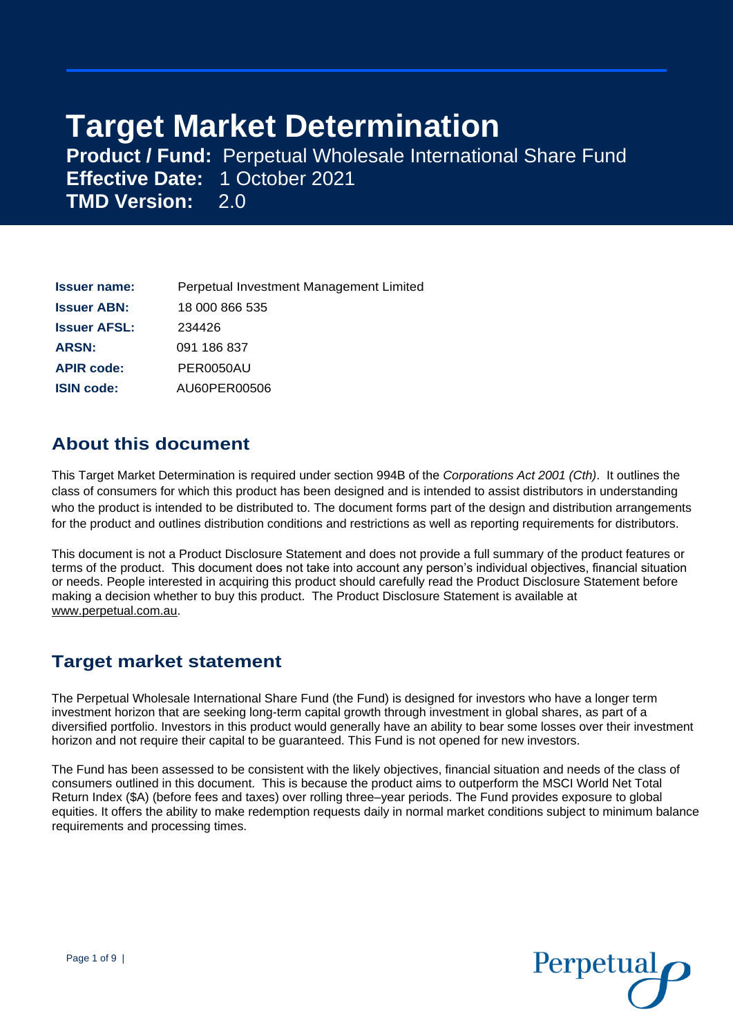# **Target Market Determination**

**Product / Fund:** Perpetual Wholesale International Share Fund **Effective Date:** 1 October 2021 **TMD Version:** 2.0

| <b>Issuer name:</b> | Perpetual Investment Management Limited |
|---------------------|-----------------------------------------|
| <b>Issuer ABN:</b>  | 18 000 866 535                          |
| <b>Issuer AFSL:</b> | 234426                                  |
| <b>ARSN:</b>        | 091 186 837                             |
| <b>APIR code:</b>   | PER0050AU                               |
| <b>ISIN code:</b>   | AU60PER00506                            |

### **About this document**

This Target Market Determination is required under section 994B of the *Corporations Act 2001 (Cth)*. It outlines the class of consumers for which this product has been designed and is intended to assist distributors in understanding who the product is intended to be distributed to. The document forms part of the design and distribution arrangements for the product and outlines distribution conditions and restrictions as well as reporting requirements for distributors.

This document is not a Product Disclosure Statement and does not provide a full summary of the product features or terms of the product. This document does not take into account any person's individual objectives, financial situation or needs. People interested in acquiring this product should carefully read the Product Disclosure Statement before making a decision whether to buy this product. The Product Disclosure Statement is available at [www.perpetual.com.au.](http://www.perpetual.com.au/)

### **Target market statement**

The Perpetual Wholesale International Share Fund (the Fund) is designed for investors who have a longer term investment horizon that are seeking long-term capital growth through investment in global shares, as part of a diversified portfolio. Investors in this product would generally have an ability to bear some losses over their investment horizon and not require their capital to be guaranteed. This Fund is not opened for new investors.

The Fund has been assessed to be consistent with the likely objectives, financial situation and needs of the class of consumers outlined in this document. This is because the product aims to outperform the MSCI World Net Total Return Index (\$A) (before fees and taxes) over rolling three–year periods. The Fund provides exposure to global equities. It offers the ability to make redemption requests daily in normal market conditions subject to minimum balance requirements and processing times.

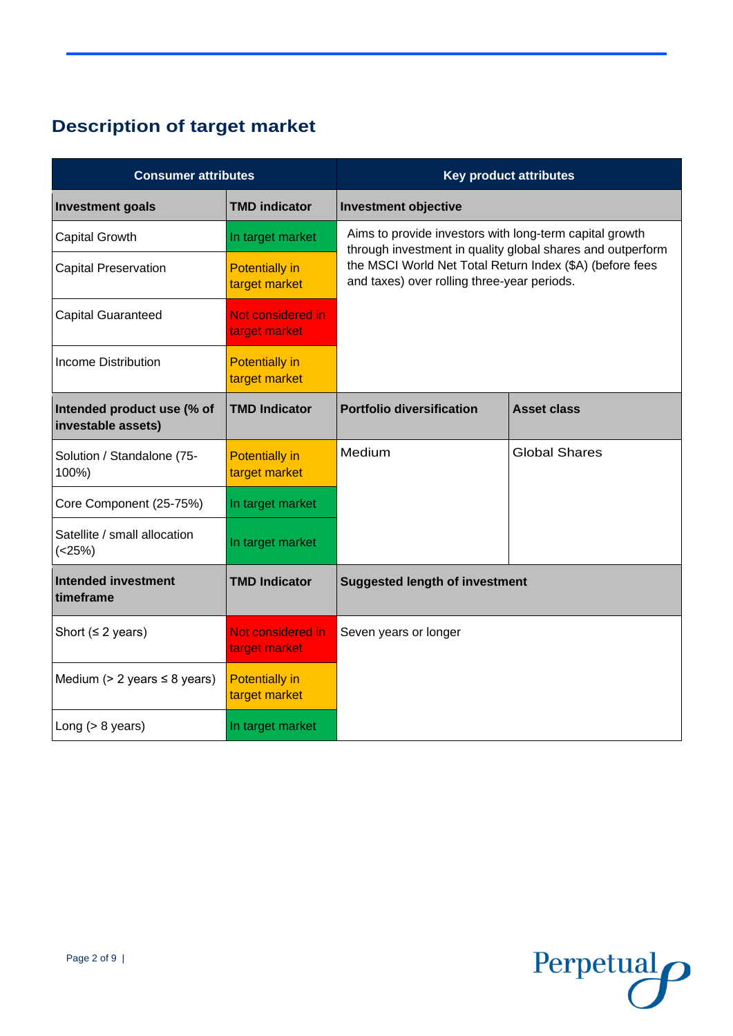## **Description of target market**

| <b>Consumer attributes</b>                       |                                        |                                                                                                                                                                                                                                  | <b>Key product attributes</b> |
|--------------------------------------------------|----------------------------------------|----------------------------------------------------------------------------------------------------------------------------------------------------------------------------------------------------------------------------------|-------------------------------|
| <b>Investment goals</b>                          | <b>TMD indicator</b>                   | <b>Investment objective</b>                                                                                                                                                                                                      |                               |
| <b>Capital Growth</b>                            | In target market                       | Aims to provide investors with long-term capital growth<br>through investment in quality global shares and outperform<br>the MSCI World Net Total Return Index (\$A) (before fees<br>and taxes) over rolling three-year periods. |                               |
| <b>Capital Preservation</b>                      | <b>Potentially in</b><br>target market |                                                                                                                                                                                                                                  |                               |
| <b>Capital Guaranteed</b>                        | Not considered in<br>target market     |                                                                                                                                                                                                                                  |                               |
| <b>Income Distribution</b>                       | <b>Potentially in</b><br>target market |                                                                                                                                                                                                                                  |                               |
| Intended product use (% of<br>investable assets) | <b>TMD Indicator</b>                   | <b>Portfolio diversification</b>                                                                                                                                                                                                 | <b>Asset class</b>            |
| Solution / Standalone (75-<br>100%)              | <b>Potentially in</b><br>target market | Medium                                                                                                                                                                                                                           | <b>Global Shares</b>          |
| Core Component (25-75%)                          | In target market                       |                                                                                                                                                                                                                                  |                               |
| Satellite / small allocation<br>$(<25\%)$        | In target market                       |                                                                                                                                                                                                                                  |                               |
| <b>Intended investment</b><br>timeframe          | <b>TMD Indicator</b>                   | <b>Suggested length of investment</b>                                                                                                                                                                                            |                               |
| Short ( $\leq$ 2 years)                          | Not considered in<br>target market     | Seven years or longer                                                                                                                                                                                                            |                               |
| Medium ( $> 2$ years $\leq 8$ years)             | <b>Potentially in</b><br>target market |                                                                                                                                                                                                                                  |                               |
| Long $(> 8$ years)                               | In target market                       |                                                                                                                                                                                                                                  |                               |

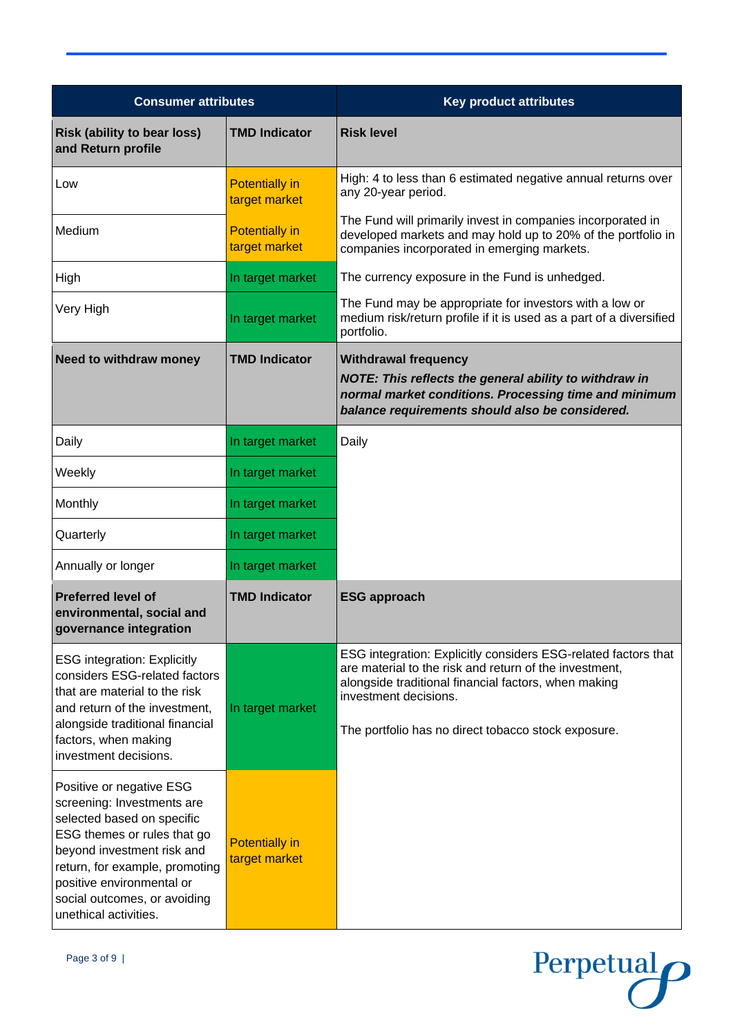| <b>Consumer attributes</b>                                                                                                                                                                                                                                                |                                        | <b>Key product attributes</b>                                                                                                                                                                                                                                    |
|---------------------------------------------------------------------------------------------------------------------------------------------------------------------------------------------------------------------------------------------------------------------------|----------------------------------------|------------------------------------------------------------------------------------------------------------------------------------------------------------------------------------------------------------------------------------------------------------------|
| <b>Risk (ability to bear loss)</b><br>and Return profile                                                                                                                                                                                                                  | <b>TMD Indicator</b>                   | <b>Risk level</b>                                                                                                                                                                                                                                                |
| Low                                                                                                                                                                                                                                                                       | <b>Potentially in</b><br>target market | High: 4 to less than 6 estimated negative annual returns over<br>any 20-year period.                                                                                                                                                                             |
| Medium                                                                                                                                                                                                                                                                    | <b>Potentially in</b><br>target market | The Fund will primarily invest in companies incorporated in<br>developed markets and may hold up to 20% of the portfolio in<br>companies incorporated in emerging markets.                                                                                       |
| High                                                                                                                                                                                                                                                                      | In target market                       | The currency exposure in the Fund is unhedged.                                                                                                                                                                                                                   |
| Very High                                                                                                                                                                                                                                                                 | In target market                       | The Fund may be appropriate for investors with a low or<br>medium risk/return profile if it is used as a part of a diversified<br>portfolio.                                                                                                                     |
| <b>Need to withdraw money</b>                                                                                                                                                                                                                                             | <b>TMD Indicator</b>                   | <b>Withdrawal frequency</b><br>NOTE: This reflects the general ability to withdraw in<br>normal market conditions. Processing time and minimum<br>balance requirements should also be considered.                                                                |
| Daily                                                                                                                                                                                                                                                                     | In target market                       | Daily                                                                                                                                                                                                                                                            |
| Weekly                                                                                                                                                                                                                                                                    | In target market                       |                                                                                                                                                                                                                                                                  |
| Monthly                                                                                                                                                                                                                                                                   | In target market                       |                                                                                                                                                                                                                                                                  |
| Quarterly                                                                                                                                                                                                                                                                 | In target market                       |                                                                                                                                                                                                                                                                  |
| Annually or longer                                                                                                                                                                                                                                                        | In target market                       |                                                                                                                                                                                                                                                                  |
| <b>Preferred level of</b><br>environmental, social and<br>governance integration                                                                                                                                                                                          | <b>TMD Indicator</b>                   | <b>ESG approach</b>                                                                                                                                                                                                                                              |
| <b>ESG</b> integration: Explicitly<br>considers ESG-related factors<br>that are material to the risk<br>and return of the investment,<br>alongside traditional financial<br>factors, when making<br>investment decisions.                                                 | In target market                       | ESG integration: Explicitly considers ESG-related factors that<br>are material to the risk and return of the investment,<br>alongside traditional financial factors, when making<br>investment decisions.<br>The portfolio has no direct tobacco stock exposure. |
| Positive or negative ESG<br>screening: Investments are<br>selected based on specific<br>ESG themes or rules that go<br>beyond investment risk and<br>return, for example, promoting<br>positive environmental or<br>social outcomes, or avoiding<br>unethical activities. | <b>Potentially in</b><br>target market |                                                                                                                                                                                                                                                                  |

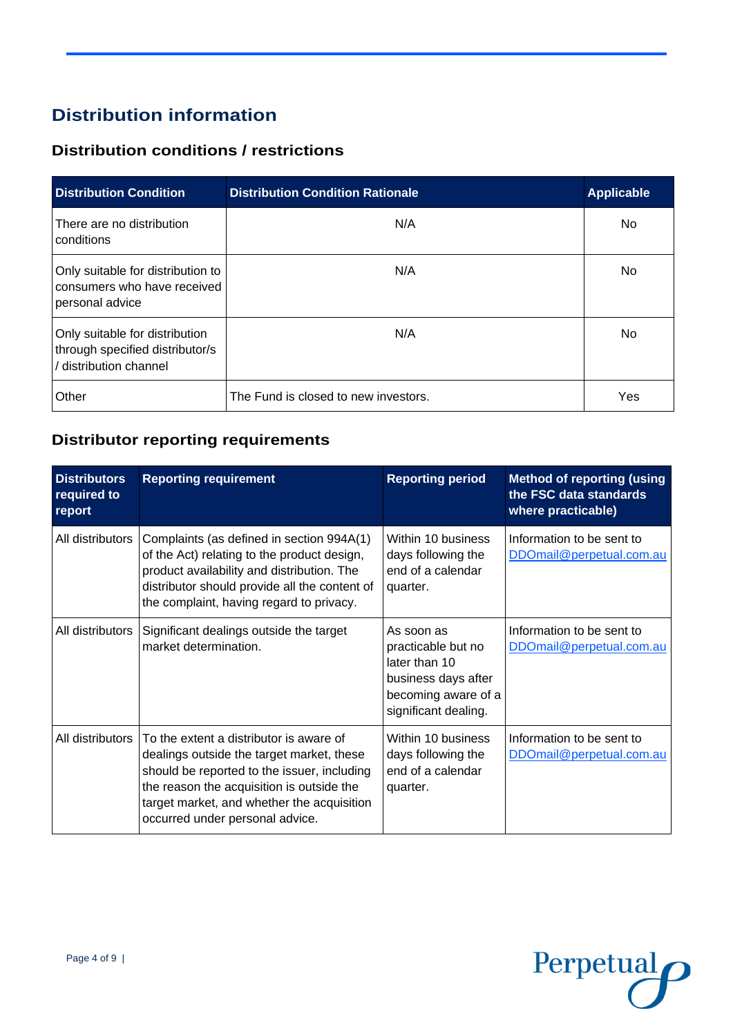### **Distribution information**

### **Distribution conditions / restrictions**

| <b>Distribution Condition</b>                                                               | <b>Distribution Condition Rationale</b> | <b>Applicable</b> |
|---------------------------------------------------------------------------------------------|-----------------------------------------|-------------------|
| There are no distribution<br>conditions                                                     | N/A                                     | No                |
| Only suitable for distribution to<br>consumers who have received<br>personal advice         | N/A                                     | No.               |
| Only suitable for distribution<br>through specified distributor/s<br>/ distribution channel | N/A                                     | No.               |
| Other                                                                                       | The Fund is closed to new investors.    | Yes               |

### **Distributor reporting requirements**

| <b>Distributors</b><br>required to<br>report | <b>Reporting requirement</b>                                                                                                                                                                                                                                      | <b>Reporting period</b>                                                                                                 | <b>Method of reporting (using</b><br>the FSC data standards<br>where practicable) |
|----------------------------------------------|-------------------------------------------------------------------------------------------------------------------------------------------------------------------------------------------------------------------------------------------------------------------|-------------------------------------------------------------------------------------------------------------------------|-----------------------------------------------------------------------------------|
| All distributors                             | Complaints (as defined in section 994A(1)<br>of the Act) relating to the product design,<br>product availability and distribution. The<br>distributor should provide all the content of<br>the complaint, having regard to privacy.                               | Within 10 business<br>days following the<br>end of a calendar<br>quarter.                                               | Information to be sent to<br>DDOmail@perpetual.com.au                             |
| All distributors                             | Significant dealings outside the target<br>market determination.                                                                                                                                                                                                  | As soon as<br>practicable but no<br>later than 10<br>business days after<br>becoming aware of a<br>significant dealing. | Information to be sent to<br>DDOmail@perpetual.com.au                             |
| All distributors                             | To the extent a distributor is aware of<br>dealings outside the target market, these<br>should be reported to the issuer, including<br>the reason the acquisition is outside the<br>target market, and whether the acquisition<br>occurred under personal advice. | Within 10 business<br>days following the<br>end of a calendar<br>quarter.                                               | Information to be sent to<br>DDOmail@perpetual.com.au                             |

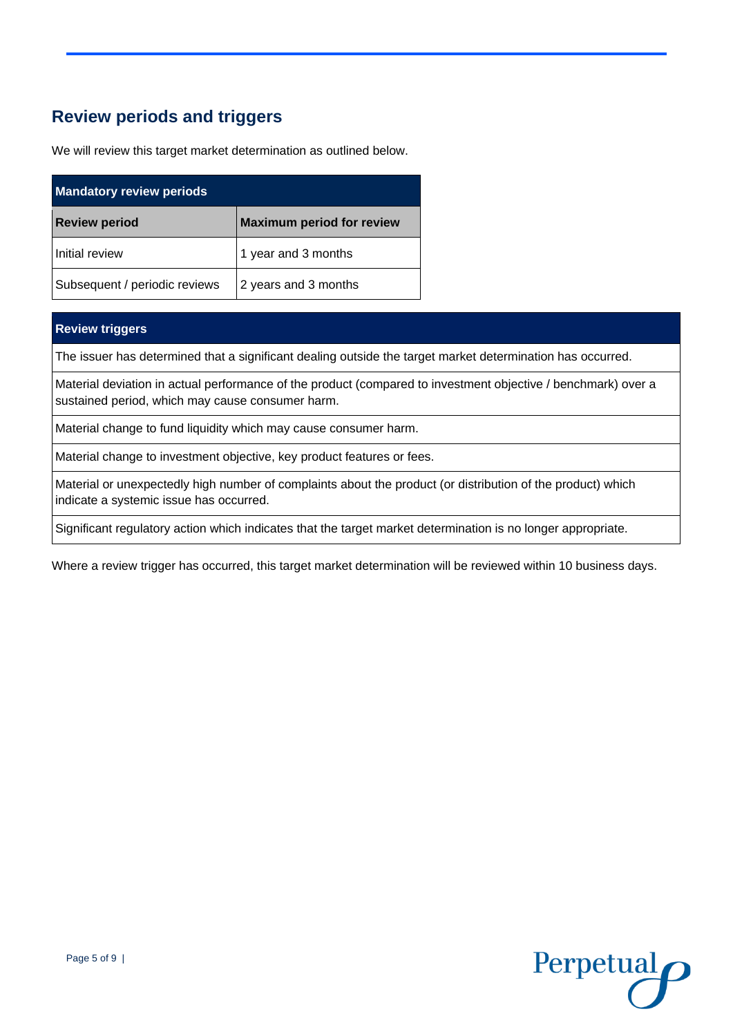### **Review periods and triggers**

We will review this target market determination as outlined below.

| <b>Mandatory review periods</b> |                                  |  |
|---------------------------------|----------------------------------|--|
| <b>Review period</b>            | <b>Maximum period for review</b> |  |
| Initial review                  | 1 year and 3 months              |  |
| Subsequent / periodic reviews   | 2 years and 3 months             |  |

#### **Review triggers**

The issuer has determined that a significant dealing outside the target market determination has occurred.

Material deviation in actual performance of the product (compared to investment objective / benchmark) over a sustained period, which may cause consumer harm.

Material change to fund liquidity which may cause consumer harm.

Material change to investment objective, key product features or fees.

Material or unexpectedly high number of complaints about the product (or distribution of the product) which indicate a systemic issue has occurred.

Significant regulatory action which indicates that the target market determination is no longer appropriate.

Where a review trigger has occurred, this target market determination will be reviewed within 10 business days.

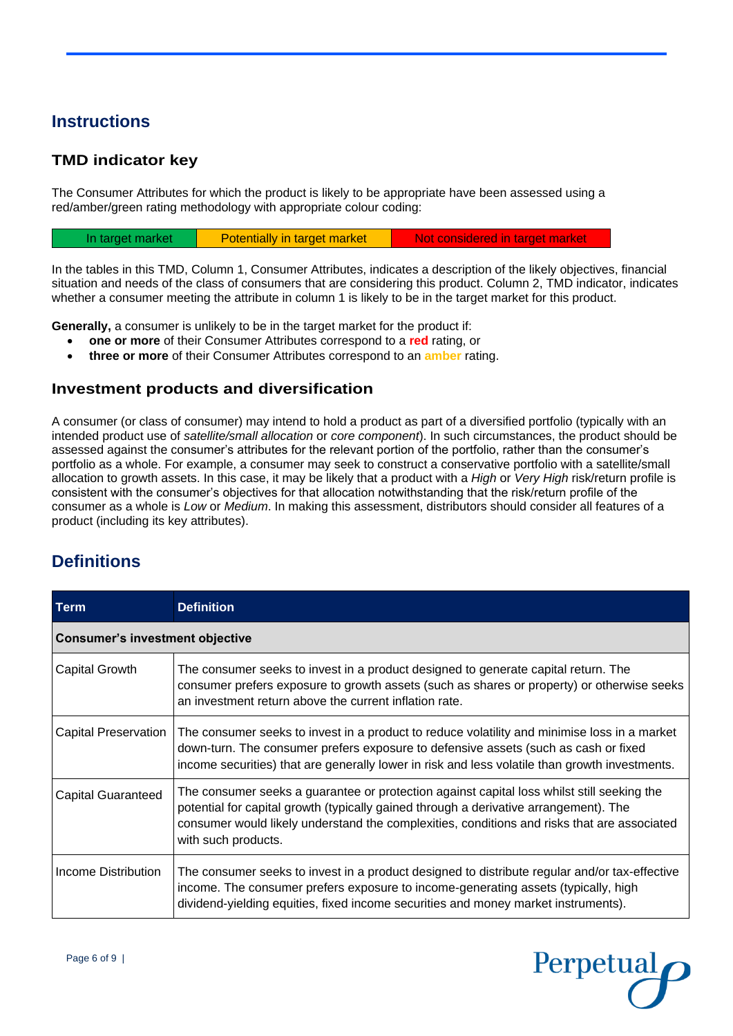### **Instructions**

### **TMD indicator key**

The Consumer Attributes for which the product is likely to be appropriate have been assessed using a red/amber/green rating methodology with appropriate colour coding:

| In target market | Potentially in target market | Not considered in target market |  |
|------------------|------------------------------|---------------------------------|--|
|                  |                              |                                 |  |

In the tables in this TMD, Column 1, Consumer Attributes, indicates a description of the likely objectives, financial situation and needs of the class of consumers that are considering this product. Column 2, TMD indicator, indicates whether a consumer meeting the attribute in column 1 is likely to be in the target market for this product.

**Generally,** a consumer is unlikely to be in the target market for the product if:

- **one or more** of their Consumer Attributes correspond to a **red** rating, or
- **three or more** of their Consumer Attributes correspond to an **amber** rating.

#### **Investment products and diversification**

A consumer (or class of consumer) may intend to hold a product as part of a diversified portfolio (typically with an intended product use of *satellite/small allocation* or *core component*). In such circumstances, the product should be assessed against the consumer's attributes for the relevant portion of the portfolio, rather than the consumer's portfolio as a whole. For example, a consumer may seek to construct a conservative portfolio with a satellite/small allocation to growth assets. In this case, it may be likely that a product with a *High* or *Very High* risk/return profile is consistent with the consumer's objectives for that allocation notwithstanding that the risk/return profile of the consumer as a whole is *Low* or *Medium*. In making this assessment, distributors should consider all features of a product (including its key attributes).

### **Definitions**

| <b>Term</b>                            | <b>Definition</b>                                                                                                                                                                                                                                                                                         |
|----------------------------------------|-----------------------------------------------------------------------------------------------------------------------------------------------------------------------------------------------------------------------------------------------------------------------------------------------------------|
| <b>Consumer's investment objective</b> |                                                                                                                                                                                                                                                                                                           |
| <b>Capital Growth</b>                  | The consumer seeks to invest in a product designed to generate capital return. The<br>consumer prefers exposure to growth assets (such as shares or property) or otherwise seeks<br>an investment return above the current inflation rate.                                                                |
| <b>Capital Preservation</b>            | The consumer seeks to invest in a product to reduce volatility and minimise loss in a market<br>down-turn. The consumer prefers exposure to defensive assets (such as cash or fixed<br>income securities) that are generally lower in risk and less volatile than growth investments.                     |
| <b>Capital Guaranteed</b>              | The consumer seeks a guarantee or protection against capital loss whilst still seeking the<br>potential for capital growth (typically gained through a derivative arrangement). The<br>consumer would likely understand the complexities, conditions and risks that are associated<br>with such products. |
| Income Distribution                    | The consumer seeks to invest in a product designed to distribute regular and/or tax-effective<br>income. The consumer prefers exposure to income-generating assets (typically, high<br>dividend-yielding equities, fixed income securities and money market instruments).                                 |

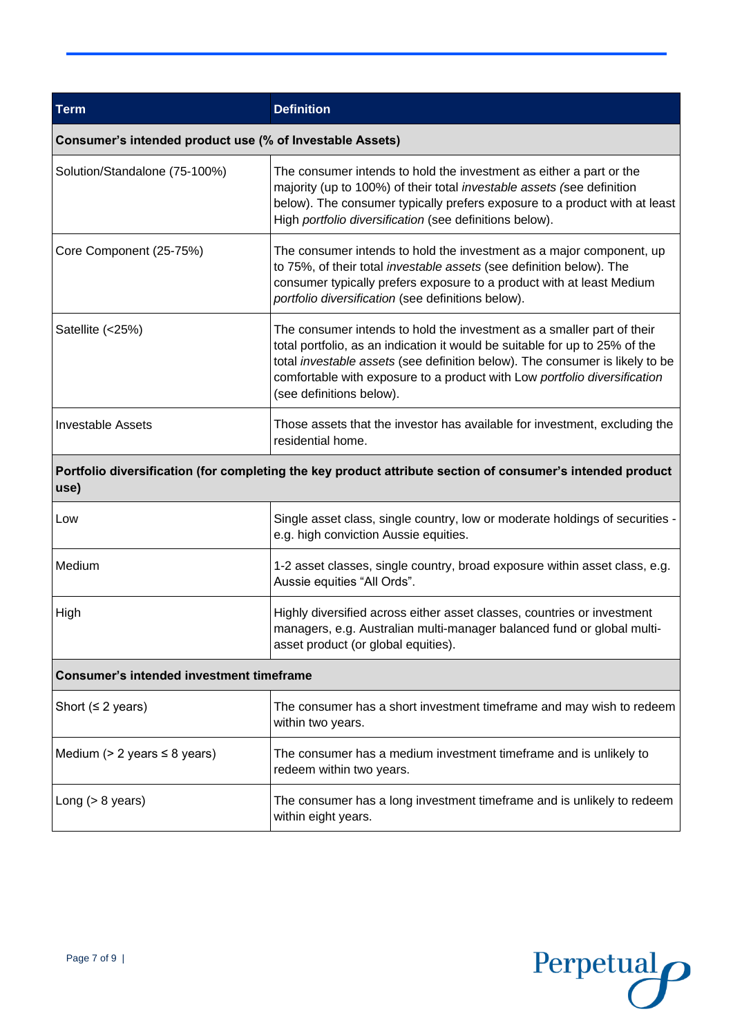| <b>Term</b>                                                                                                        | <b>Definition</b>                                                                                                                                                                                                                                                                                                                              |  |
|--------------------------------------------------------------------------------------------------------------------|------------------------------------------------------------------------------------------------------------------------------------------------------------------------------------------------------------------------------------------------------------------------------------------------------------------------------------------------|--|
| Consumer's intended product use (% of Investable Assets)                                                           |                                                                                                                                                                                                                                                                                                                                                |  |
| Solution/Standalone (75-100%)                                                                                      | The consumer intends to hold the investment as either a part or the<br>majority (up to 100%) of their total <i>investable assets</i> (see definition<br>below). The consumer typically prefers exposure to a product with at least<br>High portfolio diversification (see definitions below).                                                  |  |
| Core Component (25-75%)                                                                                            | The consumer intends to hold the investment as a major component, up<br>to 75%, of their total investable assets (see definition below). The<br>consumer typically prefers exposure to a product with at least Medium<br>portfolio diversification (see definitions below).                                                                    |  |
| Satellite (<25%)                                                                                                   | The consumer intends to hold the investment as a smaller part of their<br>total portfolio, as an indication it would be suitable for up to 25% of the<br>total investable assets (see definition below). The consumer is likely to be<br>comfortable with exposure to a product with Low portfolio diversification<br>(see definitions below). |  |
| <b>Investable Assets</b>                                                                                           | Those assets that the investor has available for investment, excluding the<br>residential home.                                                                                                                                                                                                                                                |  |
| Portfolio diversification (for completing the key product attribute section of consumer's intended product<br>use) |                                                                                                                                                                                                                                                                                                                                                |  |
| Low                                                                                                                | Single asset class, single country, low or moderate holdings of securities -<br>e.g. high conviction Aussie equities.                                                                                                                                                                                                                          |  |
| Medium                                                                                                             | 1-2 asset classes, single country, broad exposure within asset class, e.g.<br>Aussie equities "All Ords".                                                                                                                                                                                                                                      |  |
| <b>High</b>                                                                                                        | Highly diversified across either asset classes, countries or investment<br>managers, e.g. Australian multi-manager balanced fund or global multi-<br>asset product (or global equities).                                                                                                                                                       |  |
| <b>Consumer's intended investment timeframe</b>                                                                    |                                                                                                                                                                                                                                                                                                                                                |  |
| Short ( $\leq$ 2 years)                                                                                            | The consumer has a short investment timeframe and may wish to redeem<br>within two years.                                                                                                                                                                                                                                                      |  |
| Medium ( $> 2$ years $\leq 8$ years)                                                                               | The consumer has a medium investment timeframe and is unlikely to<br>redeem within two years.                                                                                                                                                                                                                                                  |  |
| Long $(> 8$ years)                                                                                                 | The consumer has a long investment timeframe and is unlikely to redeem<br>within eight years.                                                                                                                                                                                                                                                  |  |

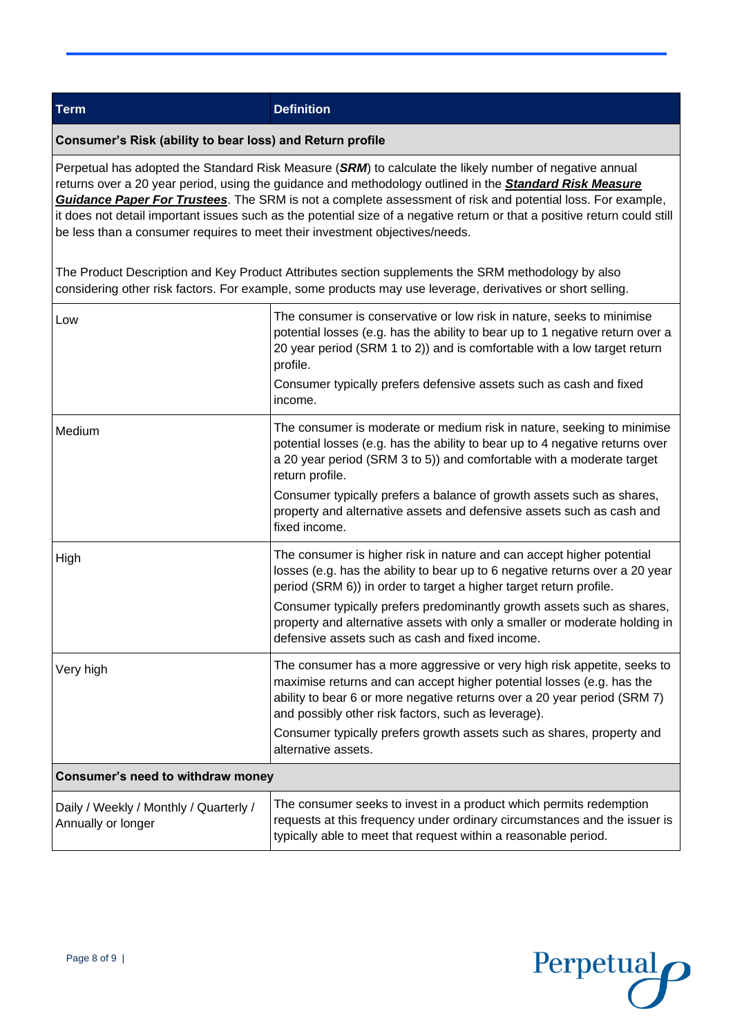**Term Definition**

#### **Consumer's Risk (ability to bear loss) and Return profile**

Perpetual has adopted the Standard Risk Measure (*SRM*) to calculate the likely number of negative annual returns over a 20 year period, using the guidance and methodology outlined in the *[Standard Risk Measure](https://protect-eu.mimecast.com/s/pqPaCwVNmtGRQpvMFVpVgu?domain=urldefense.com)  [Guidance Paper For Trustees](https://protect-eu.mimecast.com/s/pqPaCwVNmtGRQpvMFVpVgu?domain=urldefense.com)*. The SRM is not a complete assessment of risk and potential loss. For example, it does not detail important issues such as the potential size of a negative return or that a positive return could still be less than a consumer requires to meet their investment objectives/needs.

The Product Description and Key Product Attributes section supplements the SRM methodology by also considering other risk factors. For example, some products may use leverage, derivatives or short selling.

| Low                                                          | The consumer is conservative or low risk in nature, seeks to minimise<br>potential losses (e.g. has the ability to bear up to 1 negative return over a<br>20 year period (SRM 1 to 2)) and is comfortable with a low target return<br>profile.<br>Consumer typically prefers defensive assets such as cash and fixed<br>income.                                                                                                        |  |
|--------------------------------------------------------------|----------------------------------------------------------------------------------------------------------------------------------------------------------------------------------------------------------------------------------------------------------------------------------------------------------------------------------------------------------------------------------------------------------------------------------------|--|
| Medium                                                       | The consumer is moderate or medium risk in nature, seeking to minimise<br>potential losses (e.g. has the ability to bear up to 4 negative returns over<br>a 20 year period (SRM 3 to 5)) and comfortable with a moderate target<br>return profile.<br>Consumer typically prefers a balance of growth assets such as shares,<br>property and alternative assets and defensive assets such as cash and<br>fixed income.                  |  |
| High                                                         | The consumer is higher risk in nature and can accept higher potential<br>losses (e.g. has the ability to bear up to 6 negative returns over a 20 year<br>period (SRM 6)) in order to target a higher target return profile.<br>Consumer typically prefers predominantly growth assets such as shares,<br>property and alternative assets with only a smaller or moderate holding in<br>defensive assets such as cash and fixed income. |  |
| Very high                                                    | The consumer has a more aggressive or very high risk appetite, seeks to<br>maximise returns and can accept higher potential losses (e.g. has the<br>ability to bear 6 or more negative returns over a 20 year period (SRM 7)<br>and possibly other risk factors, such as leverage).<br>Consumer typically prefers growth assets such as shares, property and<br>alternative assets.                                                    |  |
| Consumer's need to withdraw money                            |                                                                                                                                                                                                                                                                                                                                                                                                                                        |  |
| Daily / Weekly / Monthly / Quarterly /<br>Annually or longer | The consumer seeks to invest in a product which permits redemption<br>requests at this frequency under ordinary circumstances and the issuer is<br>typically able to meet that request within a reasonable period.                                                                                                                                                                                                                     |  |